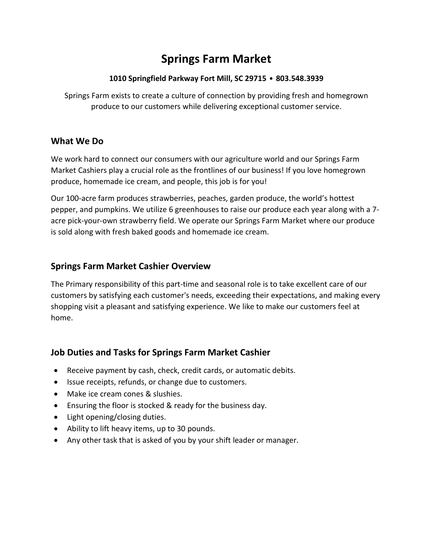# **Springs Farm Market**

#### **1010 Springfield Parkway Fort Mill, SC 29715** • **803.548.3939**

Springs Farm exists to create a culture of connection by providing fresh and homegrown produce to our customers while delivering exceptional customer service.

#### **What We Do**

We work hard to connect our consumers with our agriculture world and our Springs Farm Market Cashiers play a crucial role as the frontlines of our business! If you love homegrown produce, homemade ice cream, and people, this job is for you!

Our 100-acre farm produces strawberries, peaches, garden produce, the world's hottest pepper, and pumpkins. We utilize 6 greenhouses to raise our produce each year along with a 7 acre pick-your-own strawberry field. We operate our Springs Farm Market where our produce is sold along with fresh baked goods and homemade ice cream.

#### **Springs Farm Market Cashier Overview**

The Primary responsibility of this part-time and seasonal role is to take excellent care of our customers by satisfying each customer's needs, exceeding their expectations, and making every shopping visit a pleasant and satisfying experience. We like to make our customers feel at home.

## **Job Duties and Tasks for Springs Farm Market Cashier**

- Receive payment by cash, check, credit cards, or automatic debits.
- Issue receipts, refunds, or change due to customers.
- Make ice cream cones & slushies.
- Ensuring the floor is stocked & ready for the business day.
- Light opening/closing duties.
- Ability to lift heavy items, up to 30 pounds.
- Any other task that is asked of you by your shift leader or manager.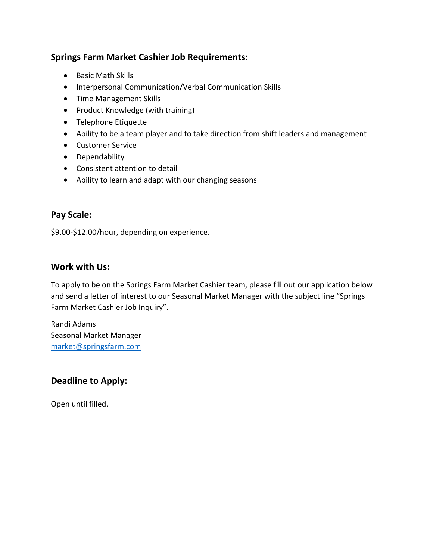# **Springs Farm Market Cashier Job Requirements:**

- Basic Math Skills
- Interpersonal Communication/Verbal Communication Skills
- Time Management Skills
- Product Knowledge (with training)
- Telephone Etiquette
- Ability to be a team player and to take direction from shift leaders and management
- Customer Service
- Dependability
- Consistent attention to detail
- Ability to learn and adapt with our changing seasons

# **Pay Scale:**

\$9.00-\$12.00/hour, depending on experience.

#### **Work with Us:**

To apply to be on the Springs Farm Market Cashier team, please fill out our application below and send a letter of interest to our Seasonal Market Manager with the subject line "Springs Farm Market Cashier Job Inquiry".

Randi Adams Seasonal Market Manager [market@springsfarm.com](mailto:market@springsfarm.com)

## **Deadline to Apply:**

Open until filled.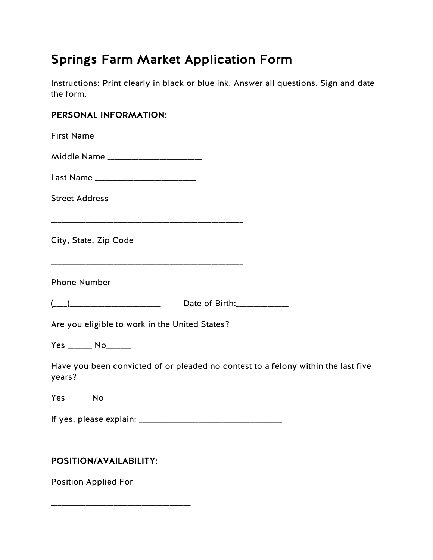# Springs Farm Market Application Form

Instructions: Print clearly in black or blue ink. Answer all questions. Sign and date the form.

# PERSONAL INFORMATION:

| Middle Name _________________________                                                       |                             |  |
|---------------------------------------------------------------------------------------------|-----------------------------|--|
| Last Name _______________________________                                                   |                             |  |
| <b>Street Address</b>                                                                       |                             |  |
| City, State, Zip Code                                                                       |                             |  |
| <b>Phone Number</b>                                                                         |                             |  |
|                                                                                             | Date of Birth: ____________ |  |
| Are you eligible to work in the United States?                                              |                             |  |
| Yes _______ No_______                                                                       |                             |  |
| Have you been convicted of or pleaded no contest to a felony within the last five<br>years? |                             |  |
|                                                                                             |                             |  |
|                                                                                             |                             |  |
| POSITION/AVAILABILITY:                                                                      |                             |  |

Position Applied For

\_\_\_\_\_\_\_\_\_\_\_\_\_\_\_\_\_\_\_\_\_\_\_\_\_\_\_\_\_\_\_\_\_\_\_\_\_\_\_\_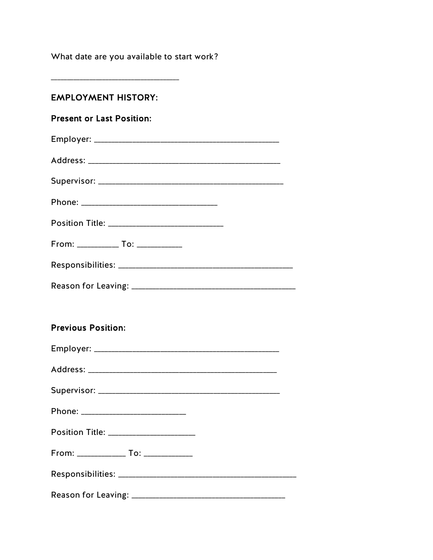What date are you available to start work?

# **EMPLOYMENT HISTORY:**

# **Present or Last Position:**

| From: _____________ To: _____________ |  |
|---------------------------------------|--|
|                                       |  |
|                                       |  |

# **Previous Position:**

| Phone: ______________________________    |
|------------------------------------------|
| Position Title: ________________________ |
| From: _______________ To: ______________ |
|                                          |
|                                          |